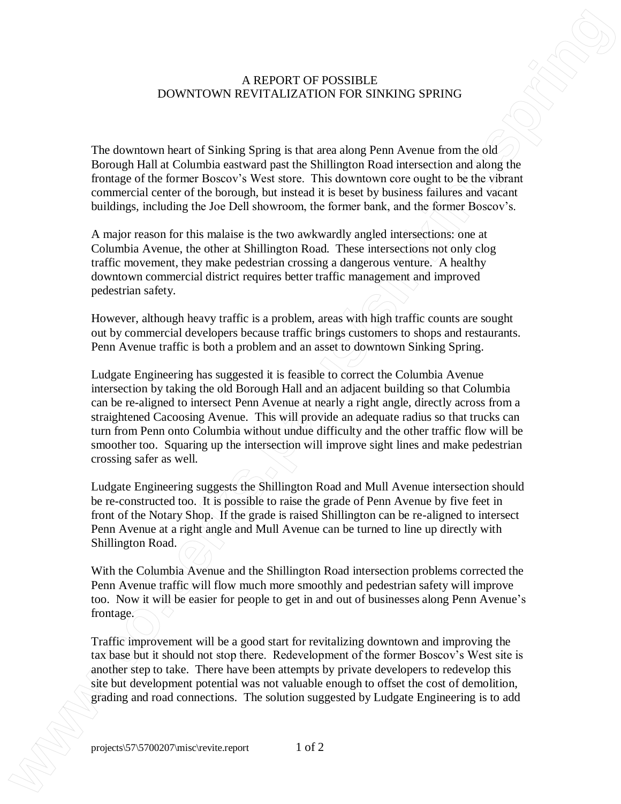## A REPORT OF POSSIBLE DOWNTOWN REVITALIZATION FOR SINKING SPRING

The downtown heart of Sinking Spring is that area along Penn Avenue from the old Borough Hall at Columbia eastward past the Shillington Road intersection and along the frontage of the former Boscov's West store. This downtown core ought to be the vibrant commercial center of the borough, but instead it is beset by business failures and vacant buildings, including the Joe Dell showroom, the former bank, and the former Boscov's.

A major reason for this malaise is the two awkwardly angled intersections: one at Columbia Avenue, the other at Shillington Road. These intersections not only clog traffic movement, they make pedestrian crossing a dangerous venture. A healthy downtown commercial district requires better traffic management and improved pedestrian safety.

However, although heavy traffic is a problem, areas with high traffic counts are sought out by commercial developers because traffic brings customers to shops and restaurants. Penn Avenue traffic is both a problem and an asset to downtown Sinking Spring.

Ludgate Engineering has suggested it is feasible to correct the Columbia Avenue intersection by taking the old Borough Hall and an adjacent building so that Columbia can be re-aligned to intersect Penn Avenue at nearly a right angle, directly across from a straightened Cacoosing Avenue. This will provide an adequate radius so that trucks can turn from Penn onto Columbia without undue difficulty and the other traffic flow will be smoother too. Squaring up the intersection will improve sight lines and make pedestrian crossing safer as well. A REPORT OF POSSIBILE.<br>
The downtown boar of Sakking Spring is that area notes SPN-NGC SPR-NGC SPR-NGC By Ludgate Engineering and road connection suggested by Ludgate Engineering in the solution suggested by Ludgate Engin

Ludgate Engineering suggests the Shillington Road and Mull Avenue intersection should be re-constructed too. It is possible to raise the grade of Penn Avenue by five feet in front of the Notary Shop. If the grade is raised Shillington can be re-aligned to intersect Penn Avenue at a right angle and Mull Avenue can be turned to line up directly with Shillington Road.

With the Columbia Avenue and the Shillington Road intersection problems corrected the Penn Avenue traffic will flow much more smoothly and pedestrian safety will improve too. Now it will be easier for people to get in and out of businesses along Penn Avenue's frontage.

Traffic improvement will be a good start for revitalizing downtown and improving the tax base but it should not stop there. Redevelopment of the former Boscov's West site is another step to take. There have been attempts by private developers to redevelop this site but development potential was not valuable enough to offset the cost of demolition,